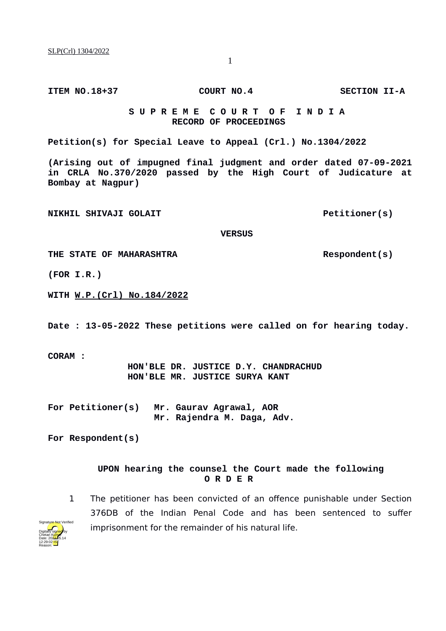**ITEM NO.18+37 COURT NO.4 SECTION II-A**

## **S U P R E M E C O U R T O F I N D I A RECORD OF PROCEEDINGS**

**Petition(s) for Special Leave to Appeal (Crl.) No.1304/2022**

**(Arising out of impugned final judgment and order dated 07-09-2021 in CRLA No.370/2020 passed by the High Court of Judicature at Bombay at Nagpur)**

**NIKHIL SHIVAJI GOLAIT Petitioner(s)** 

 **VERSUS**

THE STATE OF MAHARASHTRA **Respondent(s)** 

**(FOR I.R.)**

**WITH W.P.(Crl) No.184/2022**

**Date : 13-05-2022 These petitions were called on for hearing today.**

**CORAM :** 

 **HON'BLE DR. JUSTICE D.Y. CHANDRACHUD HON'BLE MR. JUSTICE SURYA KANT**

**For Petitioner(s) Mr. Gaurav Agrawal, AOR Mr. Rajendra M. Daga, Adv.**

**For Respondent(s)**

## **UPON hearing the counsel the Court made the following O R D E R**





1